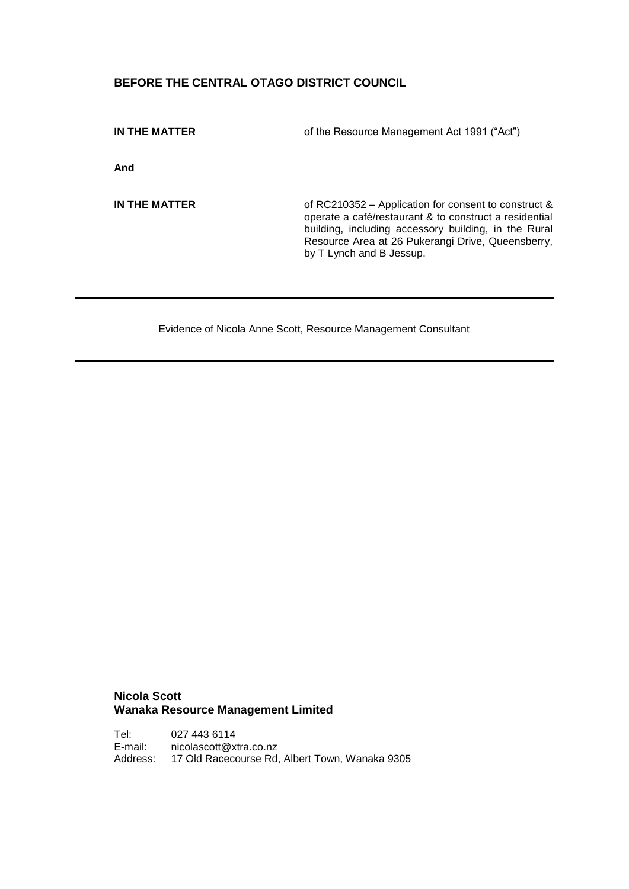# **BEFORE THE CENTRAL OTAGO DISTRICT COUNCIL**

**IN THE MATTER** of the Resource Management Act 1991 ("Act")

**And**

**IN THE MATTER** of RC210352 – Application for consent to construct & operate a café/restaurant & to construct a residential building, including accessory building, in the Rural Resource Area at 26 Pukerangi Drive, Queensberry, by T Lynch and B Jessup.

Evidence of Nicola Anne Scott, Resource Management Consultant

## **Nicola Scott Wanaka Resource Management Limited**

Tel: 027 443 6114<br>E-mail: nicolascott@x [nicolascott@xtra.co.nz](mailto:wanaka@chasurveyors.co.nz) Address: 17 Old Racecourse Rd, Albert Town, Wanaka 9305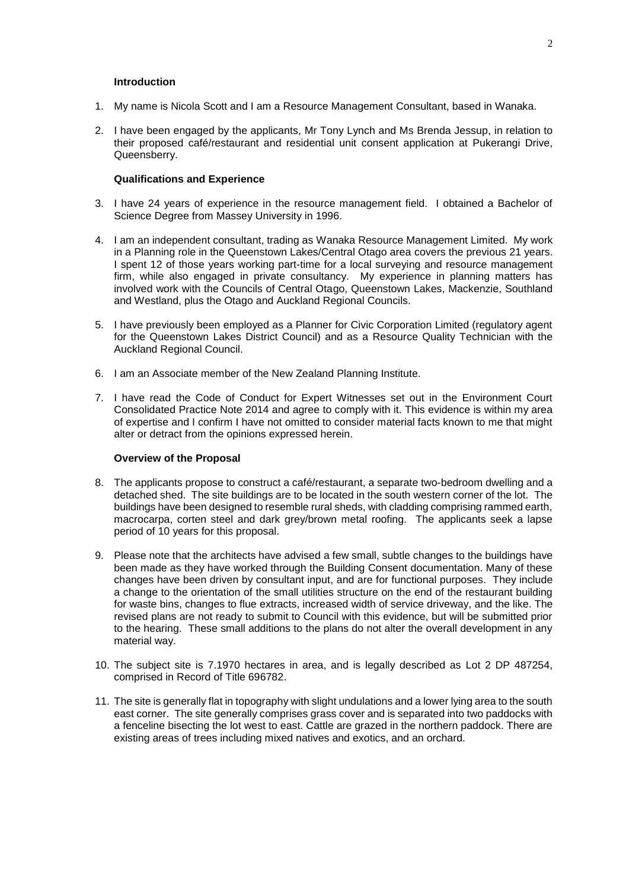#### **Introduction**

- 1. My name is Nicola Scott and I am a Resource Management Consultant, based in Wanaka.
- 2. I have been engaged by the applicants, Mr Tony Lynch and Ms Brenda Jessup, in relation to their proposed café/restaurant and residential unit consent application at Pukerangi Drive, Queensberry.

## **Qualifications and Experience**

- 3. I have 24 years of experience in the resource management field. I obtained a Bachelor of Science Degree from Massey University in 1996.
- 4. I am an independent consultant, trading as Wanaka Resource Management Limited. My work in a Planning role in the Queenstown Lakes/Central Otago area covers the previous 21 years. I spent 12 of those years working part-time for a local surveying and resource management firm, while also engaged in private consultancy. My experience in planning matters has involved work with the Councils of Central Otago, Queenstown Lakes, Mackenzie, Southland and Westland, plus the Otago and Auckland Regional Councils.
- 5. I have previously been employed as a Planner for Civic Corporation Limited (regulatory agent for the Queenstown Lakes District Council) and as a Resource Quality Technician with the Auckland Regional Council.
- 6. I am an Associate member of the New Zealand Planning Institute.
- 7. I have read the Code of Conduct for Expert Witnesses set out in the Environment Court Consolidated Practice Note 2014 and agree to comply with it. This evidence is within my area of expertise and I confirm I have not omitted to consider material facts known to me that might alter or detract from the opinions expressed herein.

#### **Overview of the Proposal**

- 8. The applicants propose to construct a café/restaurant, a separate two-bedroom dwelling and a detached shed. The site buildings are to be located in the south western corner of the lot. The buildings have been designed to resemble rural sheds, with cladding comprising rammed earth, macrocarpa, corten steel and dark grey/brown metal roofing. The applicants seek a lapse period of 10 years for this proposal.
- 9. Please note that the architects have advised a few small, subtle changes to the buildings have been made as they have worked through the Building Consent documentation. Many of these changes have been driven by consultant input, and are for functional purposes. They include a change to the orientation of the small utilities structure on the end of the restaurant building for waste bins, changes to flue extracts, increased width of service driveway, and the like. The revised plans are not ready to submit to Council with this evidence, but will be submitted prior to the hearing. These small additions to the plans do not alter the overall development in any material way.
- 10. The subject site is 7.1970 hectares in area, and is legally described as Lot 2 DP 487254, comprised in Record of Title 696782.
- 11. The site is generally flat in topography with slight undulations and a lower lying area to the south east corner. The site generally comprises grass cover and is separated into two paddocks with a fenceline bisecting the lot west to east. Cattle are grazed in the northern paddock. There are existing areas of trees including mixed natives and exotics, and an orchard.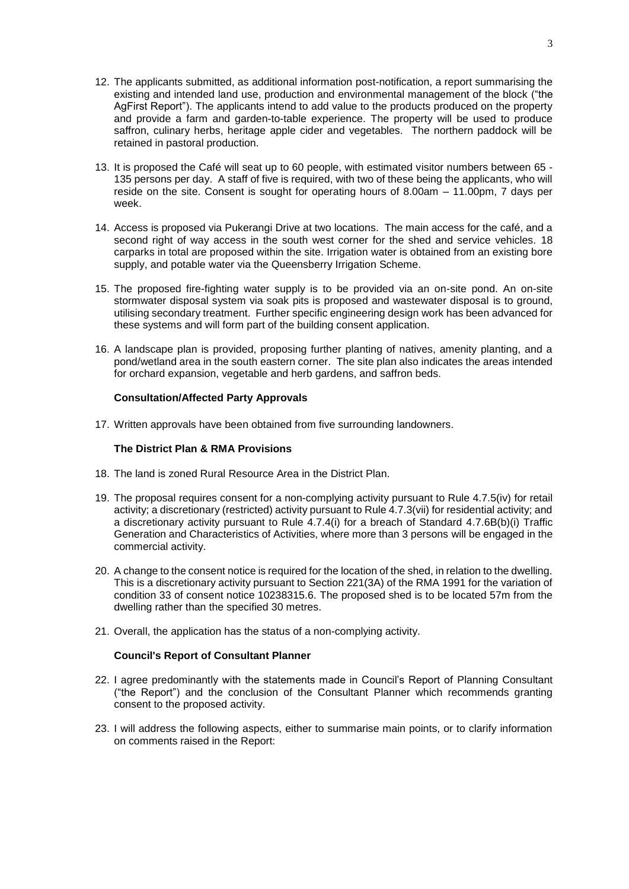- 12. The applicants submitted, as additional information post-notification, a report summarising the existing and intended land use, production and environmental management of the block ("the AgFirst Report"). The applicants intend to add value to the products produced on the property and provide a farm and garden-to-table experience. The property will be used to produce saffron, culinary herbs, heritage apple cider and vegetables. The northern paddock will be retained in pastoral production.
- 13. It is proposed the Café will seat up to 60 people, with estimated visitor numbers between 65 135 persons per day. A staff of five is required, with two of these being the applicants, who will reside on the site. Consent is sought for operating hours of 8.00am – 11.00pm, 7 days per week.
- 14. Access is proposed via Pukerangi Drive at two locations. The main access for the café, and a second right of way access in the south west corner for the shed and service vehicles. 18 carparks in total are proposed within the site. Irrigation water is obtained from an existing bore supply, and potable water via the Queensberry Irrigation Scheme.
- 15. The proposed fire-fighting water supply is to be provided via an on-site pond. An on-site stormwater disposal system via soak pits is proposed and wastewater disposal is to ground, utilising secondary treatment. Further specific engineering design work has been advanced for these systems and will form part of the building consent application.
- 16. A landscape plan is provided, proposing further planting of natives, amenity planting, and a pond/wetland area in the south eastern corner. The site plan also indicates the areas intended for orchard expansion, vegetable and herb gardens, and saffron beds.

### **Consultation/Affected Party Approvals**

17. Written approvals have been obtained from five surrounding landowners.

## **The District Plan & RMA Provisions**

- 18. The land is zoned Rural Resource Area in the District Plan.
- 19. The proposal requires consent for a non-complying activity pursuant to Rule 4.7.5(iv) for retail activity; a discretionary (restricted) activity pursuant to Rule 4.7.3(vii) for residential activity; and a discretionary activity pursuant to Rule 4.7.4(i) for a breach of Standard 4.7.6B(b)(i) Traffic Generation and Characteristics of Activities, where more than 3 persons will be engaged in the commercial activity.
- 20. A change to the consent notice is required for the location of the shed, in relation to the dwelling. This is a discretionary activity pursuant to Section 221(3A) of the RMA 1991 for the variation of condition 33 of consent notice 10238315.6. The proposed shed is to be located 57m from the dwelling rather than the specified 30 metres.
- 21. Overall, the application has the status of a non-complying activity.

### **Council's Report of Consultant Planner**

- 22. I agree predominantly with the statements made in Council's Report of Planning Consultant ("the Report") and the conclusion of the Consultant Planner which recommends granting consent to the proposed activity.
- 23. I will address the following aspects, either to summarise main points, or to clarify information on comments raised in the Report: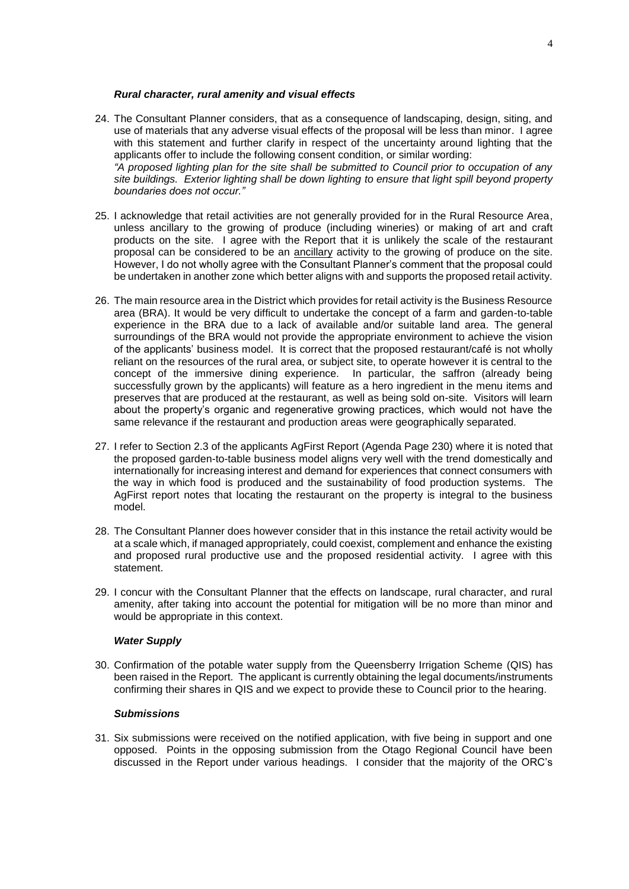#### *Rural character, rural amenity and visual effects*

- 24. The Consultant Planner considers, that as a consequence of landscaping, design, siting, and use of materials that any adverse visual effects of the proposal will be less than minor. I agree with this statement and further clarify in respect of the uncertainty around lighting that the applicants offer to include the following consent condition, or similar wording: *"A proposed lighting plan for the site shall be submitted to Council prior to occupation of any site buildings. Exterior lighting shall be down lighting to ensure that light spill beyond property boundaries does not occur."*
- 25. I acknowledge that retail activities are not generally provided for in the Rural Resource Area, unless ancillary to the growing of produce (including wineries) or making of art and craft products on the site. I agree with the Report that it is unlikely the scale of the restaurant proposal can be considered to be an ancillary activity to the growing of produce on the site. However, I do not wholly agree with the Consultant Planner's comment that the proposal could be undertaken in another zone which better aligns with and supports the proposed retail activity.
- 26. The main resource area in the District which provides for retail activity is the Business Resource area (BRA). It would be very difficult to undertake the concept of a farm and garden-to-table experience in the BRA due to a lack of available and/or suitable land area. The general surroundings of the BRA would not provide the appropriate environment to achieve the vision of the applicants' business model. It is correct that the proposed restaurant/café is not wholly reliant on the resources of the rural area, or subject site, to operate however it is central to the concept of the immersive dining experience. In particular, the saffron (already being successfully grown by the applicants) will feature as a hero ingredient in the menu items and preserves that are produced at the restaurant, as well as being sold on-site. Visitors will learn about the property's organic and regenerative growing practices, which would not have the same relevance if the restaurant and production areas were geographically separated.
- 27. I refer to Section 2.3 of the applicants AgFirst Report (Agenda Page 230) where it is noted that the proposed garden-to-table business model aligns very well with the trend domestically and internationally for increasing interest and demand for experiences that connect consumers with the way in which food is produced and the sustainability of food production systems. The AgFirst report notes that locating the restaurant on the property is integral to the business model.
- 28. The Consultant Planner does however consider that in this instance the retail activity would be at a scale which, if managed appropriately, could coexist, complement and enhance the existing and proposed rural productive use and the proposed residential activity. I agree with this statement.
- 29. I concur with the Consultant Planner that the effects on landscape, rural character, and rural amenity, after taking into account the potential for mitigation will be no more than minor and would be appropriate in this context.

## *Water Supply*

30. Confirmation of the potable water supply from the Queensberry Irrigation Scheme (QIS) has been raised in the Report. The applicant is currently obtaining the legal documents/instruments confirming their shares in QIS and we expect to provide these to Council prior to the hearing.

#### *Submissions*

31. Six submissions were received on the notified application, with five being in support and one opposed. Points in the opposing submission from the Otago Regional Council have been discussed in the Report under various headings. I consider that the majority of the ORC's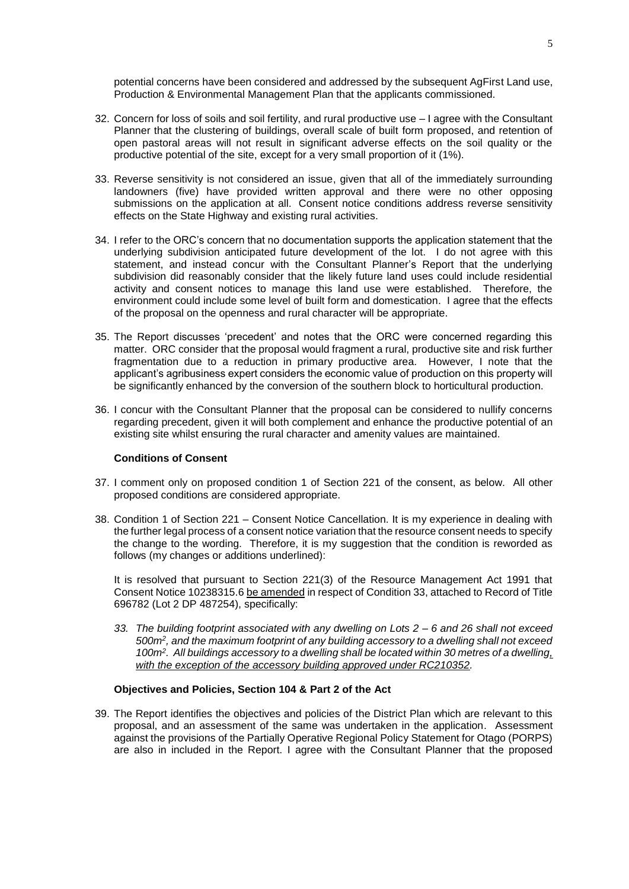potential concerns have been considered and addressed by the subsequent AgFirst Land use, Production & Environmental Management Plan that the applicants commissioned.

- 32. Concern for loss of soils and soil fertility, and rural productive use I agree with the Consultant Planner that the clustering of buildings, overall scale of built form proposed, and retention of open pastoral areas will not result in significant adverse effects on the soil quality or the productive potential of the site, except for a very small proportion of it (1%).
- 33. Reverse sensitivity is not considered an issue, given that all of the immediately surrounding landowners (five) have provided written approval and there were no other opposing submissions on the application at all. Consent notice conditions address reverse sensitivity effects on the State Highway and existing rural activities.
- 34. I refer to the ORC's concern that no documentation supports the application statement that the underlying subdivision anticipated future development of the lot. I do not agree with this statement, and instead concur with the Consultant Planner's Report that the underlying subdivision did reasonably consider that the likely future land uses could include residential activity and consent notices to manage this land use were established. Therefore, the environment could include some level of built form and domestication. I agree that the effects of the proposal on the openness and rural character will be appropriate.
- 35. The Report discusses 'precedent' and notes that the ORC were concerned regarding this matter. ORC consider that the proposal would fragment a rural, productive site and risk further fragmentation due to a reduction in primary productive area. However, I note that the applicant's agribusiness expert considers the economic value of production on this property will be significantly enhanced by the conversion of the southern block to horticultural production.
- 36. I concur with the Consultant Planner that the proposal can be considered to nullify concerns regarding precedent, given it will both complement and enhance the productive potential of an existing site whilst ensuring the rural character and amenity values are maintained.

#### **Conditions of Consent**

- 37. I comment only on proposed condition 1 of Section 221 of the consent, as below. All other proposed conditions are considered appropriate.
- 38. Condition 1 of Section 221 Consent Notice Cancellation. It is my experience in dealing with the further legal process of a consent notice variation that the resource consent needs to specify the change to the wording. Therefore, it is my suggestion that the condition is reworded as follows (my changes or additions underlined):

It is resolved that pursuant to Section 221(3) of the Resource Management Act 1991 that Consent Notice 10238315.6 be amended in respect of Condition 33, attached to Record of Title 696782 (Lot 2 DP 487254), specifically:

*33. The building footprint associated with any dwelling on Lots 2 – 6 and 26 shall not exceed 500m<sup>2</sup> , and the maximum footprint of any building accessory to a dwelling shall not exceed 100m<sup>2</sup> . All buildings accessory to a dwelling shall be located within 30 metres of a dwelling, with the exception of the accessory building approved under RC210352.*

## **Objectives and Policies, Section 104 & Part 2 of the Act**

39. The Report identifies the objectives and policies of the District Plan which are relevant to this proposal, and an assessment of the same was undertaken in the application. Assessment against the provisions of the Partially Operative Regional Policy Statement for Otago (PORPS) are also in included in the Report. I agree with the Consultant Planner that the proposed